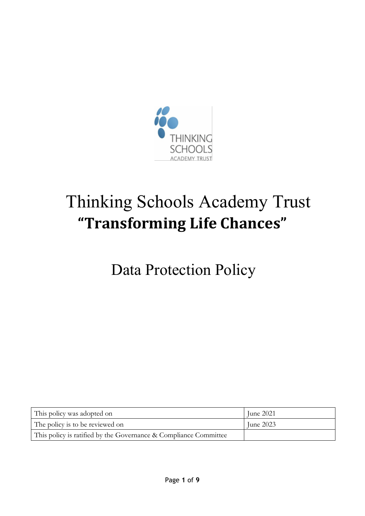

# Thinking Schools Academy Trust **"Transforming Life Chances"**

Data Protection Policy

| This policy was adopted on                                       | June 2021 |
|------------------------------------------------------------------|-----------|
| The policy is to be reviewed on                                  | June 2023 |
| This policy is ratified by the Governance & Compliance Committee |           |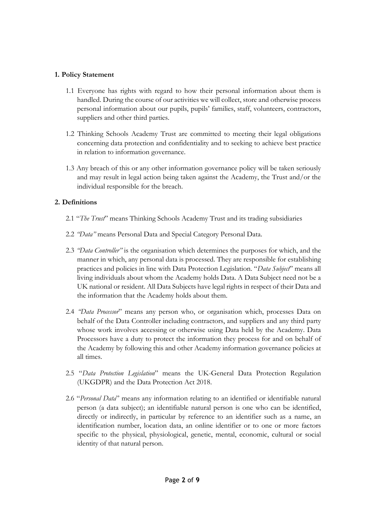## **1. Policy Statement**

- 1.1 Everyone has rights with regard to how their personal information about them is handled. During the course of our activities we will collect, store and otherwise process personal information about our pupils, pupils' families, staff, volunteers, contractors, suppliers and other third parties.
- 1.2 Thinking Schools Academy Trust are committed to meeting their legal obligations concerning data protection and confidentiality and to seeking to achieve best practice in relation to information governance.
- 1.3 Any breach of this or any other information governance policy will be taken seriously and may result in legal action being taken against the Academy, the Trust and/or the individual responsible for the breach.

# **2. Definitions**

- 2.1 "*The Trust*" means Thinking Schools Academy Trust and its trading subsidiaries
- 2.2 *"Data"* means Personal Data and Special Category Personal Data.
- 2.3 *"Data Controller"* is the organisation which determines the purposes for which, and the manner in which, any personal data is processed. They are responsible for establishing practices and policies in line with Data Protection Legislation. "*Data Subject*" means all living individuals about whom the Academy holds Data. A Data Subject need not be a UK national or resident. All Data Subjects have legal rights in respect of their Data and the information that the Academy holds about them.
- 2.4 *"Data Processor*" means any person who, or organisation which, processes Data on behalf of the Data Controller including contractors, and suppliers and any third party whose work involves accessing or otherwise using Data held by the Academy. Data Processors have a duty to protect the information they process for and on behalf of the Academy by following this and other Academy information governance policies at all times.
- 2.5 "*Data Protection Legislation*" means the UK-General Data Protection Regulation (UKGDPR) and the Data Protection Act 2018.
- 2.6 "*Personal Data*" means any information relating to an identified or identifiable natural person (a data subject); an identifiable natural person is one who can be identified, directly or indirectly, in particular by reference to an identifier such as a name, an identification number, location data, an online identifier or to one or more factors specific to the physical, physiological, genetic, mental, economic, cultural or social identity of that natural person.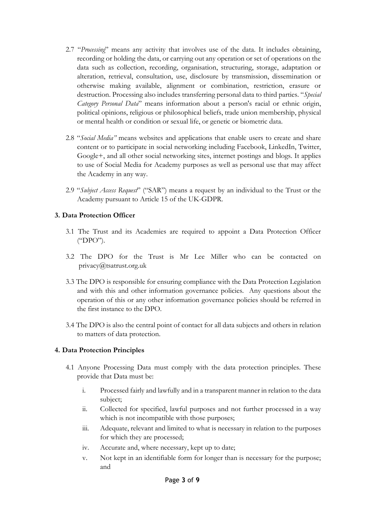- 2.7 "*Processing*" means any activity that involves use of the data. It includes obtaining, recording or holding the data, or carrying out any operation or set of operations on the data such as collection, recording, organisation, structuring, storage, adaptation or alteration, retrieval, consultation, use, disclosure by transmission, dissemination or otherwise making available, alignment or combination, restriction, erasure or destruction. Processing also includes transferring personal data to third parties. "*Special Category Personal Data*" means information about a person's racial or ethnic origin, political opinions, religious or philosophical beliefs, trade union membership, physical or mental health or condition or sexual life, or genetic or biometric data.
- 2.8 "*Social Media"* means websites and applications that enable users to create and share content or to participate in social networking including Facebook, LinkedIn, Twitter, Google+, and all other social networking sites, internet postings and blogs. It applies to use of Social Media for Academy purposes as well as personal use that may affect the Academy in any way.
- 2.9 "*Subject Access Request*" ("SAR") means a request by an individual to the Trust or the Academy pursuant to Article 15 of the UK-GDPR.

# **3. Data Protection Officer**

- 3.1 The Trust and its Academies are required to appoint a Data Protection Officer ("DPO").
- 3.2 The DPO for the Trust is Mr Lee Miller who can be contacted on privacy@tsatrust.org.uk
- 3.3 The DPO is responsible for ensuring compliance with the Data Protection Legislation and with this and other information governance policies. Any questions about the operation of this or any other information governance policies should be referred in the first instance to the DPO.
- 3.4 The DPO is also the central point of contact for all data subjects and others in relation to matters of data protection.

## **4. Data Protection Principles**

- 4.1 Anyone Processing Data must comply with the data protection principles. These provide that Data must be:
	- i. Processed fairly and lawfully and in a transparent manner in relation to the data subject;
	- ii. Collected for specified, lawful purposes and not further processed in a way which is not incompatible with those purposes;
	- iii. Adequate, relevant and limited to what is necessary in relation to the purposes for which they are processed;
	- iv. Accurate and, where necessary, kept up to date;
	- v. Not kept in an identifiable form for longer than is necessary for the purpose; and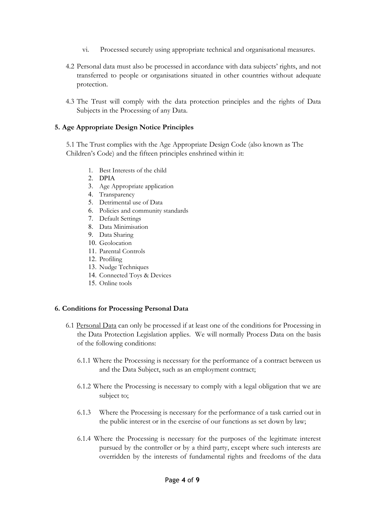- vi. Processed securely using appropriate technical and organisational measures.
- 4.2 Personal data must also be processed in accordance with data subjects' rights, and not transferred to people or organisations situated in other countries without adequate protection.
- 4.3 The Trust will comply with the data protection principles and the rights of Data Subjects in the Processing of any Data.

#### **5. Age Appropriate Design Notice Principles**

5.1 The Trust complies with the Age Appropriate Design Code (also known as The Children's Code) and the fifteen principles enshrined within it:

- 1. Best Interests of the child
- 2. DPIA
- 3. Age Appropriate application
- 4. Transparency
- 5. Detrimental use of Data
- 6. Policies and community standards
- 7. Default Settings
- 8. Data Minimisation
- 9. Data Sharing
- 10. Geolocation
- 11. Parental Controls
- 12. Profiling
- 13. Nudge Techniques
- 14. Connected Toys & Devices
- 15. Online tools

#### **6. Conditions for Processing Personal Data**

- 6.1 Personal Data can only be processed if at least one of the conditions for Processing in the Data Protection Legislation applies. We will normally Process Data on the basis of the following conditions:
	- 6.1.1 Where the Processing is necessary for the performance of a contract between us and the Data Subject, such as an employment contract;
	- 6.1.2 Where the Processing is necessary to comply with a legal obligation that we are subject to;
	- 6.1.3 Where the Processing is necessary for the performance of a task carried out in the public interest or in the exercise of our functions as set down by law;
	- 6.1.4 Where the Processing is necessary for the purposes of the legitimate interest pursued by the controller or by a third party, except where such interests are overridden by the interests of fundamental rights and freedoms of the data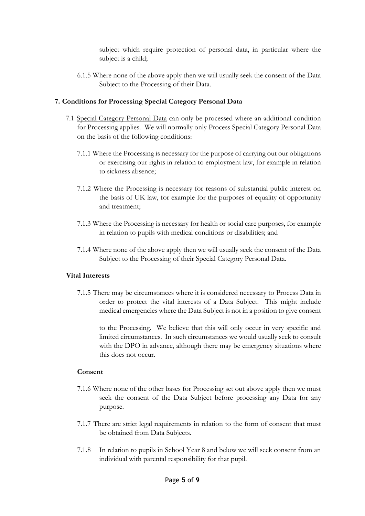subject which require protection of personal data, in particular where the subject is a child;

6.1.5 Where none of the above apply then we will usually seek the consent of the Data Subject to the Processing of their Data.

## **7. Conditions for Processing Special Category Personal Data**

- 7.1 Special Category Personal Data can only be processed where an additional condition for Processing applies. We will normally only Process Special Category Personal Data on the basis of the following conditions:
	- 7.1.1 Where the Processing is necessary for the purpose of carrying out our obligations or exercising our rights in relation to employment law, for example in relation to sickness absence;
	- 7.1.2 Where the Processing is necessary for reasons of substantial public interest on the basis of UK law, for example for the purposes of equality of opportunity and treatment;
	- 7.1.3 Where the Processing is necessary for health or social care purposes, for example in relation to pupils with medical conditions or disabilities; and
	- 7.1.4 Where none of the above apply then we will usually seek the consent of the Data Subject to the Processing of their Special Category Personal Data.

## **Vital Interests**

7.1.5 There may be circumstances where it is considered necessary to Process Data in order to protect the vital interests of a Data Subject. This might include medical emergencies where the Data Subject is not in a position to give consent

to the Processing. We believe that this will only occur in very specific and limited circumstances. In such circumstances we would usually seek to consult with the DPO in advance, although there may be emergency situations where this does not occur.

#### **Consent**

- 7.1.6 Where none of the other bases for Processing set out above apply then we must seek the consent of the Data Subject before processing any Data for any purpose.
- 7.1.7 There are strict legal requirements in relation to the form of consent that must be obtained from Data Subjects.
- 7.1.8 In relation to pupils in School Year 8 and below we will seek consent from an individual with parental responsibility for that pupil.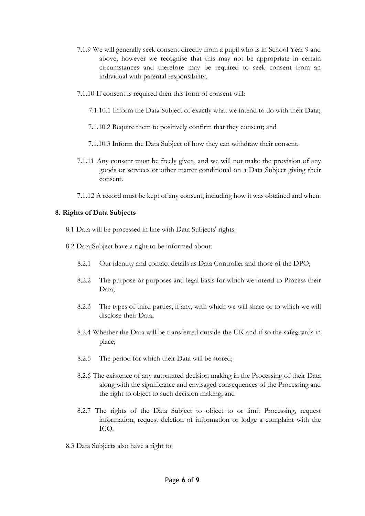- 7.1.9 We will generally seek consent directly from a pupil who is in School Year 9 and above, however we recognise that this may not be appropriate in certain circumstances and therefore may be required to seek consent from an individual with parental responsibility.
- 7.1.10 If consent is required then this form of consent will:
	- 7.1.10.1 Inform the Data Subject of exactly what we intend to do with their Data;
	- 7.1.10.2 Require them to positively confirm that they consent; and
	- 7.1.10.3 Inform the Data Subject of how they can withdraw their consent.
- 7.1.11 Any consent must be freely given, and we will not make the provision of any goods or services or other matter conditional on a Data Subject giving their consent.
- 7.1.12 A record must be kept of any consent, including how it was obtained and when.

### **8. Rights of Data Subjects**

- 8.1 Data will be processed in line with Data Subjects' rights.
- 8.2 Data Subject have a right to be informed about:
	- 8.2.1 Our identity and contact details as Data Controller and those of the DPO;
	- 8.2.2 The purpose or purposes and legal basis for which we intend to Process their Data;
	- 8.2.3 The types of third parties, if any, with which we will share or to which we will disclose their Data;
	- 8.2.4 Whether the Data will be transferred outside the UK and if so the safeguards in place;
	- 8.2.5 The period for which their Data will be stored;
	- 8.2.6 The existence of any automated decision making in the Processing of their Data along with the significance and envisaged consequences of the Processing and the right to object to such decision making; and
	- 8.2.7 The rights of the Data Subject to object to or limit Processing, request information, request deletion of information or lodge a complaint with the ICO.
- 8.3 Data Subjects also have a right to: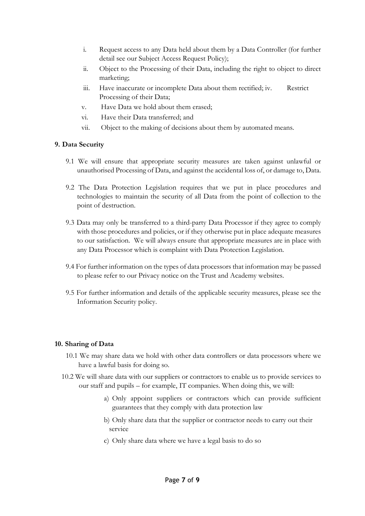- i. Request access to any Data held about them by a Data Controller (for further detail see our Subject Access Request Policy);
- ii. Object to the Processing of their Data, including the right to object to direct marketing;
- iii. Have inaccurate or incomplete Data about them rectified; iv. Restrict Processing of their Data;
- v. Have Data we hold about them erased;
- vi. Have their Data transferred; and
- vii. Object to the making of decisions about them by automated means.

# **9. Data Security**

- 9.1 We will ensure that appropriate security measures are taken against unlawful or unauthorised Processing of Data, and against the accidental loss of, or damage to, Data.
- 9.2 The Data Protection Legislation requires that we put in place procedures and technologies to maintain the security of all Data from the point of collection to the point of destruction.
- 9.3 Data may only be transferred to a third-party Data Processor if they agree to comply with those procedures and policies, or if they otherwise put in place adequate measures to our satisfaction. We will always ensure that appropriate measures are in place with any Data Processor which is complaint with Data Protection Legislation.
- 9.4 For further information on the types of data processors that information may be passed to please refer to our Privacy notice on the Trust and Academy websites.
- 9.5 For further information and details of the applicable security measures, please see the Information Security policy.

## **10. Sharing of Data**

- 10.1 We may share data we hold with other data controllers or data processors where we have a lawful basis for doing so.
- 10.2 We will share data with our suppliers or contractors to enable us to provide services to our staff and pupils – for example, IT companies. When doing this, we will:
	- a) Only appoint suppliers or contractors which can provide sufficient guarantees that they comply with data protection law
	- b) Only share data that the supplier or contractor needs to carry out their service
	- c) Only share data where we have a legal basis to do so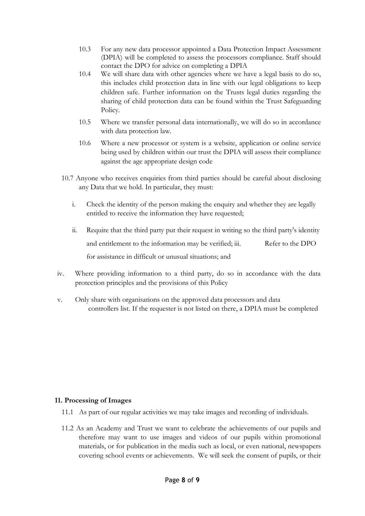- 10.3 For any new data processor appointed a Data Protection Impact Assessment (DPIA) will be completed to assess the processors compliance. Staff should contact the DPO for advice on completing a DPIA
- 10.4 We will share data with other agencies where we have a legal basis to do so, this includes child protection data in line with our legal obligations to keep children safe. Further information on the Trusts legal duties regarding the sharing of child protection data can be found within the Trust Safeguarding Policy.
- 10.5 Where we transfer personal data internationally, we will do so in accordance with data protection law.
- 10.6 Where a new processor or system is a website, application or online service being used by children within our trust the DPIA will assess their compliance against the age appropriate design code
- 10.7 Anyone who receives enquiries from third parties should be careful about disclosing any Data that we hold. In particular, they must:
	- i. Check the identity of the person making the enquiry and whether they are legally entitled to receive the information they have requested;
	- ii. Require that the third party put their request in writing so the third party's identity and entitlement to the information may be verified; iii. Refer to the DPO for assistance in difficult or unusual situations; and
- iv. Where providing information to a third party, do so in accordance with the data protection principles and the provisions of this Policy
- v. Only share with organisations on the approved data processors and data controllers list. If the requester is not listed on there, a DPIA must be completed

#### **11. Processing of Images**

- 11.1 As part of our regular activities we may take images and recording of individuals.
- 11.2 As an Academy and Trust we want to celebrate the achievements of our pupils and therefore may want to use images and videos of our pupils within promotional materials, or for publication in the media such as local, or even national, newspapers covering school events or achievements. We will seek the consent of pupils, or their